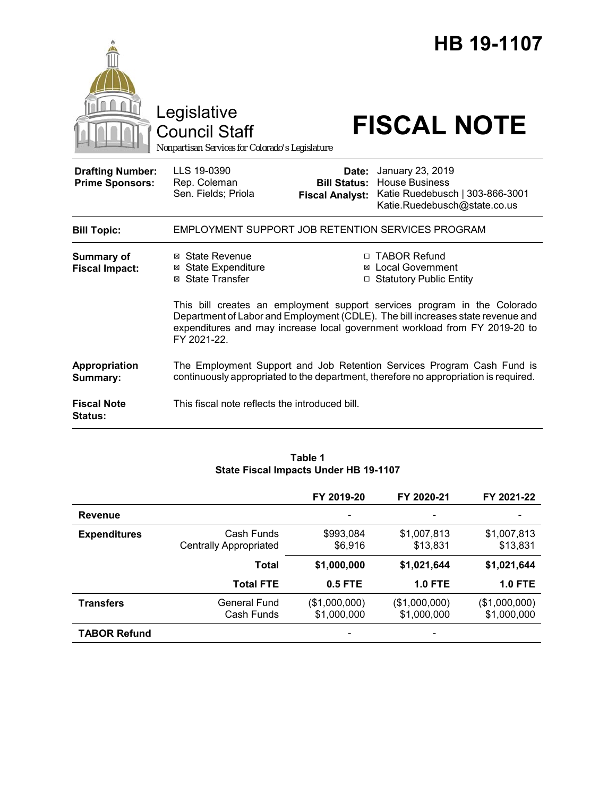|                                                   | Legislative<br><b>Council Staff</b><br>Nonpartisan Services for Colorado's Legislature                                                                                                                                                                   |                                                        | HB 19-1107<br><b>FISCAL NOTE</b>                                                                             |  |  |
|---------------------------------------------------|----------------------------------------------------------------------------------------------------------------------------------------------------------------------------------------------------------------------------------------------------------|--------------------------------------------------------|--------------------------------------------------------------------------------------------------------------|--|--|
| <b>Drafting Number:</b><br><b>Prime Sponsors:</b> | LLS 19-0390<br>Rep. Coleman<br>Sen. Fields; Priola                                                                                                                                                                                                       | Date:<br><b>Bill Status:</b><br><b>Fiscal Analyst:</b> | January 23, 2019<br><b>House Business</b><br>Katie Ruedebusch   303-866-3001<br>Katie.Ruedebusch@state.co.us |  |  |
| <b>Bill Topic:</b>                                | EMPLOYMENT SUPPORT JOB RETENTION SERVICES PROGRAM                                                                                                                                                                                                        |                                                        |                                                                                                              |  |  |
| <b>Summary of</b><br><b>Fiscal Impact:</b>        | ⊠ State Revenue<br><b>State Expenditure</b><br>⊠<br><b>State Transfer</b><br>⊠                                                                                                                                                                           | $\Box$                                                 | □ TABOR Refund<br><b>Local Government</b><br><b>Statutory Public Entity</b>                                  |  |  |
|                                                   | This bill creates an employment support services program in the Colorado<br>Department of Labor and Employment (CDLE). The bill increases state revenue and<br>expenditures and may increase local government workload from FY 2019-20 to<br>FY 2021-22. |                                                        |                                                                                                              |  |  |
| Appropriation<br>Summary:                         | The Employment Support and Job Retention Services Program Cash Fund is<br>continuously appropriated to the department, therefore no appropriation is required.                                                                                           |                                                        |                                                                                                              |  |  |
| <b>Fiscal Note</b><br><b>Status:</b>              | This fiscal note reflects the introduced bill.                                                                                                                                                                                                           |                                                        |                                                                                                              |  |  |

### **Table 1 State Fiscal Impacts Under HB 19-1107**

|                     |                                             | FY 2019-20                   | FY 2020-21                   | FY 2021-22                   |
|---------------------|---------------------------------------------|------------------------------|------------------------------|------------------------------|
| <b>Revenue</b>      |                                             |                              |                              |                              |
| <b>Expenditures</b> | Cash Funds<br><b>Centrally Appropriated</b> | \$993,084<br>\$6,916         | \$1,007,813<br>\$13,831      | \$1,007,813<br>\$13,831      |
|                     | <b>Total</b>                                | \$1,000,000                  | \$1,021,644                  | \$1,021,644                  |
|                     | <b>Total FTE</b>                            | $0.5$ FTE                    | <b>1.0 FTE</b>               | <b>1.0 FTE</b>               |
| <b>Transfers</b>    | General Fund<br>Cash Funds                  | (\$1,000,000)<br>\$1,000,000 | (\$1,000,000)<br>\$1,000,000 | (\$1,000,000)<br>\$1,000,000 |
| <b>TABOR Refund</b> |                                             |                              |                              |                              |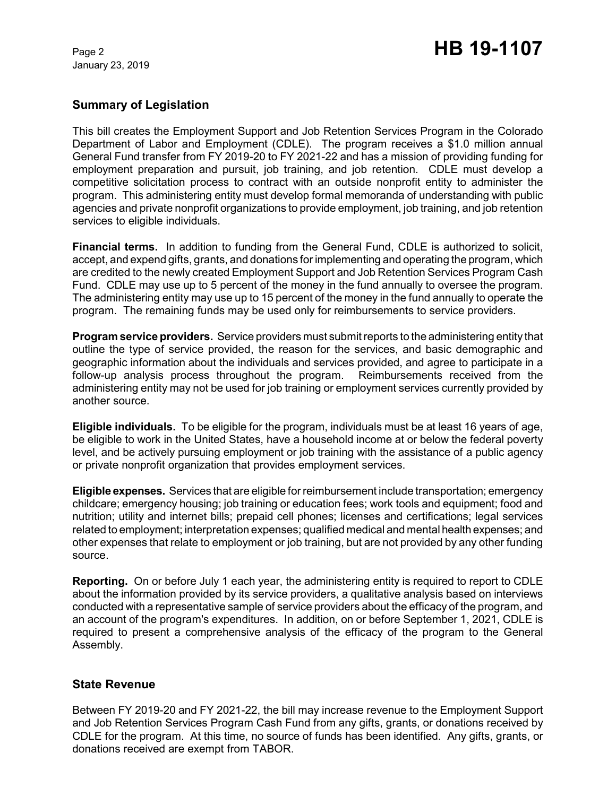January 23, 2019

# Page 2 **HB 19-1107**

# **Summary of Legislation**

This bill creates the Employment Support and Job Retention Services Program in the Colorado Department of Labor and Employment (CDLE). The program receives a \$1.0 million annual General Fund transfer from FY 2019-20 to FY 2021-22 and has a mission of providing funding for employment preparation and pursuit, job training, and job retention. CDLE must develop a competitive solicitation process to contract with an outside nonprofit entity to administer the program. This administering entity must develop formal memoranda of understanding with public agencies and private nonprofit organizations to provide employment, job training, and job retention services to eligible individuals.

**Financial terms.** In addition to funding from the General Fund, CDLE is authorized to solicit, accept, and expend gifts, grants, and donations for implementing and operating the program, which are credited to the newly created Employment Support and Job Retention Services Program Cash Fund. CDLE may use up to 5 percent of the money in the fund annually to oversee the program. The administering entity may use up to 15 percent of the money in the fund annually to operate the program. The remaining funds may be used only for reimbursements to service providers.

**Program service providers.** Service providers must submit reports to the administering entity that outline the type of service provided, the reason for the services, and basic demographic and geographic information about the individuals and services provided, and agree to participate in a follow-up analysis process throughout the program. Reimbursements received from the administering entity may not be used for job training or employment services currently provided by another source.

**Eligible individuals.** To be eligible for the program, individuals must be at least 16 years of age, be eligible to work in the United States, have a household income at or below the federal poverty level, and be actively pursuing employment or job training with the assistance of a public agency or private nonprofit organization that provides employment services.

**Eligible expenses.** Services that are eligible for reimbursement include transportation; emergency childcare; emergency housing; job training or education fees; work tools and equipment; food and nutrition; utility and internet bills; prepaid cell phones; licenses and certifications; legal services related to employment; interpretation expenses; qualified medical and mental health expenses; and other expenses that relate to employment or job training, but are not provided by any other funding source.

**Reporting.** On or before July 1 each year, the administering entity is required to report to CDLE about the information provided by its service providers, a qualitative analysis based on interviews conducted with a representative sample of service providers about the efficacy of the program, and an account of the program's expenditures. In addition, on or before September 1, 2021, CDLE is required to present a comprehensive analysis of the efficacy of the program to the General Assembly.

## **State Revenue**

Between FY 2019-20 and FY 2021-22, the bill may increase revenue to the Employment Support and Job Retention Services Program Cash Fund from any gifts, grants, or donations received by CDLE for the program. At this time, no source of funds has been identified. Any gifts, grants, or donations received are exempt from TABOR.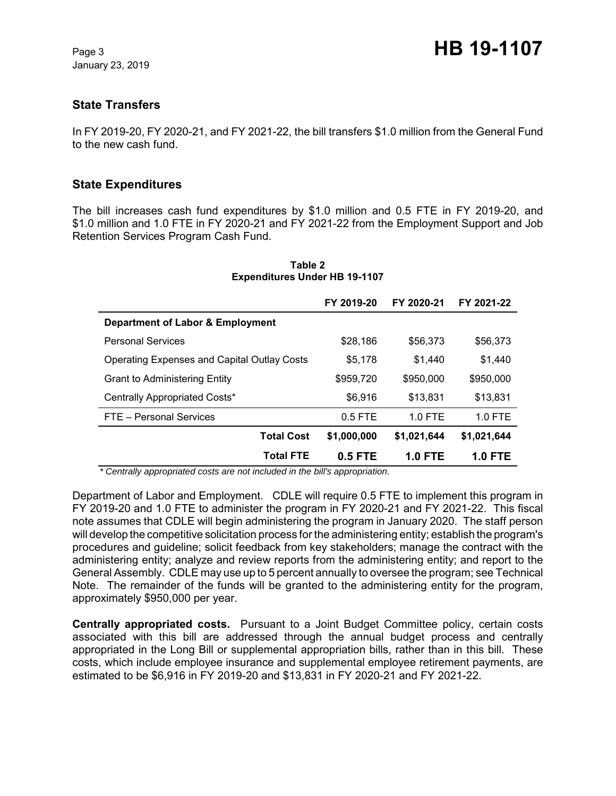January 23, 2019

# **State Transfers**

In FY 2019-20, FY 2020-21, and FY 2021-22, the bill transfers \$1.0 million from the General Fund to the new cash fund.

# **State Expenditures**

The bill increases cash fund expenditures by \$1.0 million and 0.5 FTE in FY 2019-20, and \$1.0 million and 1.0 FTE in FY 2020-21 and FY 2021-22 from the Employment Support and Job Retention Services Program Cash Fund.

|                                                    | FY 2019-20  | FY 2020-21  | FY 2021-22     |
|----------------------------------------------------|-------------|-------------|----------------|
| Department of Labor & Employment                   |             |             |                |
| <b>Personal Services</b>                           | \$28,186    | \$56,373    | \$56,373       |
| <b>Operating Expenses and Capital Outlay Costs</b> | \$5,178     | \$1,440     | \$1,440        |
| <b>Grant to Administering Entity</b>               | \$959,720   | \$950,000   | \$950,000      |
| Centrally Appropriated Costs*                      | \$6,916     | \$13,831    | \$13,831       |
| FTE - Personal Services                            | $0.5$ FTE   | $1.0$ FTE   | $1.0$ FTE      |
| <b>Total Cost</b>                                  | \$1,000,000 | \$1,021,644 | \$1,021,644    |
| <b>Total FTE</b>                                   | $0.5$ FTE   | 1.0 FTE     | <b>1.0 FTE</b> |

#### **Table 2 Expenditures Under HB 19-1107**

 *\* Centrally appropriated costs are not included in the bill's appropriation.*

Department of Labor and Employment. CDLE will require 0.5 FTE to implement this program in FY 2019-20 and 1.0 FTE to administer the program in FY 2020-21 and FY 2021-22. This fiscal note assumes that CDLE will begin administering the program in January 2020. The staff person will develop the competitive solicitation process for the administering entity; establish the program's procedures and guideline; solicit feedback from key stakeholders; manage the contract with the administering entity; analyze and review reports from the administering entity; and report to the General Assembly. CDLE may use up to 5 percent annually to oversee the program; see Technical Note. The remainder of the funds will be granted to the administering entity for the program, approximately \$950,000 per year.

**Centrally appropriated costs.** Pursuant to a Joint Budget Committee policy, certain costs associated with this bill are addressed through the annual budget process and centrally appropriated in the Long Bill or supplemental appropriation bills, rather than in this bill. These costs, which include employee insurance and supplemental employee retirement payments, are estimated to be \$6,916 in FY 2019-20 and \$13,831 in FY 2020-21 and FY 2021-22.